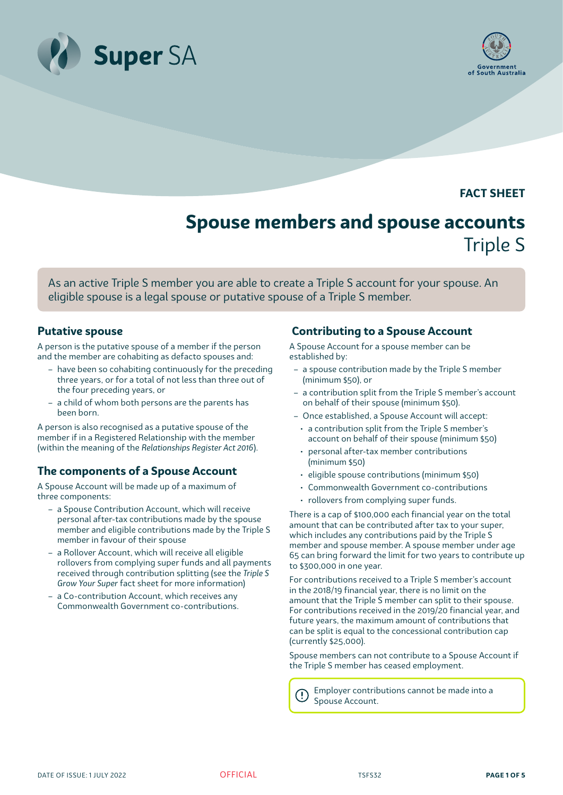



**FACT SHEET**

# **Spouse members and spouse accounts** Triple S

As an active Triple S member you are able to create a Triple S account for your spouse. An eligible spouse is a legal spouse or putative spouse of a Triple S member.

## **Putative spouse**

A person is the putative spouse of a member if the person and the member are cohabiting as defacto spouses and:

- have been so cohabiting continuously for the preceding three years, or for a total of not less than three out of the four preceding years, or
- a child of whom both persons are the parents has been born.

A person is also recognised as a putative spouse of the member if in a Registered Relationship with the member (within the meaning of the *Relationships Register Act 2016*).

# **The components of a Spouse Account**

A Spouse Account will be made up of a maximum of three components:

- a Spouse Contribution Account, which will receive personal after-tax contributions made by the spouse member and eligible contributions made by the Triple S member in favour of their spouse
- a Rollover Account, which will receive all eligible rollovers from complying super funds and all payments received through contribution splitting (see the *Triple S Grow Your Super* fact sheet for more information)
- a Co-contribution Account, which receives any Commonwealth Government co-contributions.

# **Contributing to a Spouse Account**

A Spouse Account for a spouse member can be established by:

- a spouse contribution made by the Triple S member (minimum \$50), or
- a contribution split from the Triple S member's account on behalf of their spouse (minimum \$50).
- Once established, a Spouse Account will accept:
- a contribution split from the Triple S member's account on behalf of their spouse (minimum \$50)
- personal after-tax member contributions (minimum \$50)
- eligible spouse contributions (minimum \$50)
- Commonwealth Government co-contributions
- rollovers from complying super funds.

There is a cap of \$100,000 each financial year on the total amount that can be contributed after tax to your super, which includes any contributions paid by the Triple S member and spouse member. A spouse member under age 65 can bring forward the limit for two years to contribute up to \$300,000 in one year.

For contributions received to a Triple S member's account in the 2018/19 financial year, there is no limit on the amount that the Triple S member can split to their spouse. For contributions received in the 2019/20 financial year, and future years, the maximum amount of contributions that can be split is equal to the concessional contribution cap (currently \$25,000).

Spouse members can not contribute to a Spouse Account if the Triple S member has ceased employment.

Employer contributions cannot be made into a Spouse Account.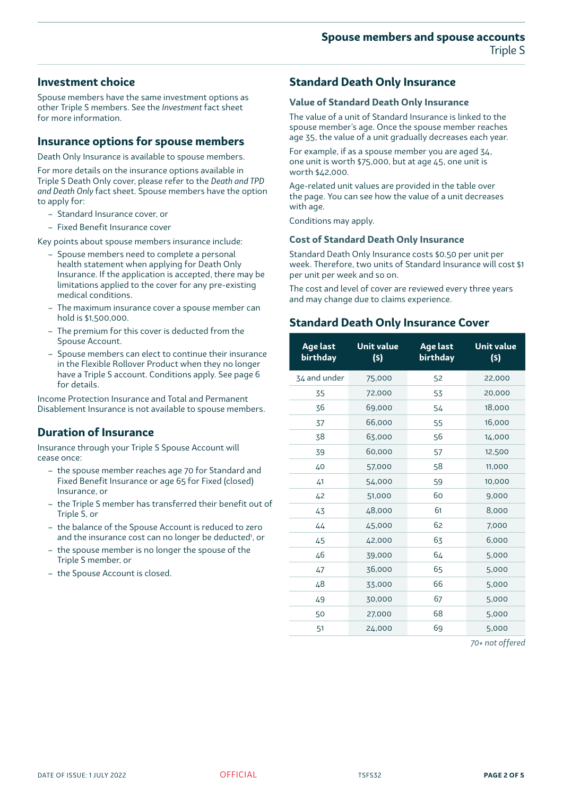# **Investment choice**

Spouse members have the same investment options as other Triple S members. See the *Investment* fact sheet for more information.

# **Insurance options for spouse members**

Death Only Insurance is available to spouse members.

For more details on the insurance options available in Triple S Death Only cover, please refer to the *Death and TPD and Death Only* fact sheet. Spouse members have the option to apply for:

- Standard Insurance cover, or
- Fixed Benefit Insurance cover

Key points about spouse members insurance include:

- Spouse members need to complete a personal health statement when applying for Death Only Insurance. If the application is accepted, there may be limitations applied to the cover for any pre-existing medical conditions.
- The maximum insurance cover a spouse member can hold is \$1,500,000.
- The premium for this cover is deducted from the Spouse Account.
- Spouse members can elect to continue their insurance in the Flexible Rollover Product when they no longer have a Triple S account. Conditions apply. See page 6 for details.

Income Protection Insurance and Total and Permanent Disablement Insurance is not available to spouse members.

# **Duration of Insurance**

Insurance through your Triple S Spouse Account will cease once:

- the spouse member reaches age 70 for Standard and Fixed Benefit Insurance or age 65 for Fixed (closed) Insurance, or
- the Triple S member has transferred their benefit out of Triple S, or
- the balance of the Spouse Account is reduced to zero and the insurance cost can no longer be deducted', or
- the spouse member is no longer the spouse of the Triple S member, or
- the Spouse Account is closed.

# **Standard Death Only Insurance**

# **Value of Standard Death Only Insurance**

The value of a unit of Standard Insurance is linked to the spouse member's age. Once the spouse member reaches age 35, the value of a unit gradually decreases each year.

For example, if as a spouse member you are aged 34, one unit is worth \$75,000, but at age 45, one unit is worth \$42,000.

Age-related unit values are provided in the table over the page. You can see how the value of a unit decreases with age.

Conditions may apply.

# **Cost of Standard Death Only Insurance**

Standard Death Only Insurance costs \$0.50 per unit per week. Therefore, two units of Standard Insurance will cost \$1 per unit per week and so on.

The cost and level of cover are reviewed every three years and may change due to claims experience.

# **Standard Death Only Insurance Cover**

| <b>Age last</b><br><b>birthday</b> | <b>Unit value</b><br>(s) | <b>Age last</b><br><b>birthday</b> | <b>Unit value</b><br>(s) |
|------------------------------------|--------------------------|------------------------------------|--------------------------|
| 34 and under                       | 75,000                   | 52                                 | 22,000                   |
| 35                                 | 72,000                   | 53                                 | 20,000                   |
| 36                                 | 69,000                   | 54                                 | 18,000                   |
| 37                                 | 66,000                   | 55                                 | 16,000                   |
| 38                                 | 63,000                   | 56                                 | 14,000                   |
| 39                                 | 60,000                   | 57                                 | 12,500                   |
| 40                                 | 57,000                   | 58                                 | 11,000                   |
| 41                                 | 54,000                   | 59                                 | 10,000                   |
| 42                                 | 51,000                   | 60                                 | 9,000                    |
| 43                                 | 48,000                   | 61                                 | 8,000                    |
| 44                                 | 45,000                   | 62                                 | 7,000                    |
| 45                                 | 42,000                   | 63                                 | 6,000                    |
| 46                                 | 39,000                   | 64                                 | 5,000                    |
| 47                                 | 36,000                   | 65                                 | 5,000                    |
| 48                                 | 33,000                   | 66                                 | 5,000                    |
| 49                                 | 30,000                   | 67                                 | 5,000                    |
| 50                                 | 27,000                   | 68                                 | 5,000                    |
| 51                                 | 24,000                   | 69                                 | 5,000                    |

*70+ not offered*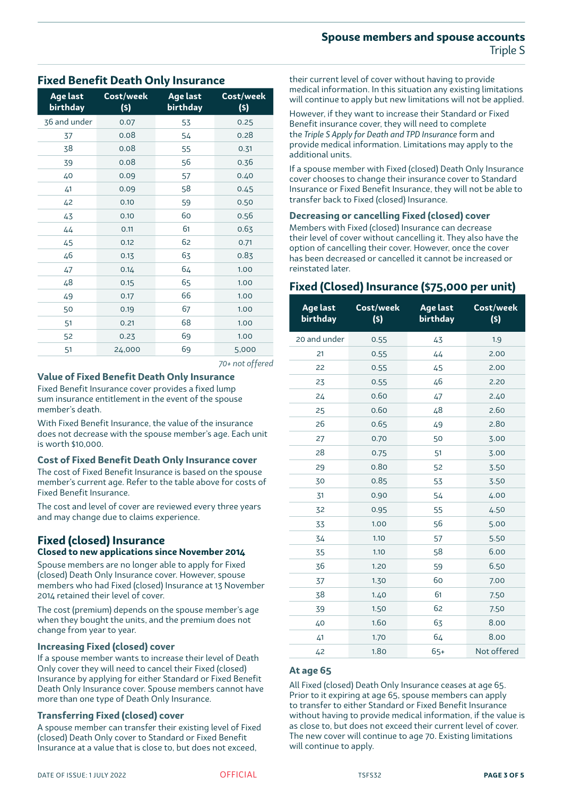## **Spouse members and spouse accounts** Triple S

#### **birthday (\$) birthday (\$)** 36 and under 0.07 53 0.25 37 0.08 54 0.28 38 0.08 55 0.31 39 0.08 56 0.36 40 0.09 57 0.40 41 0.09 58 0.45 42 0.10 59 0.50 43 0.10 60 0.56 44 0.11 61 0.63 45 0.12 62 0.71 46 0.13 63 0.83 47 0.14 64 1.00 48 0.15 65 1.00 49 0.17 66 1.00 50 0.19 67 1.00 51 0.21 68 1.00 52 0.23 69 1.00 51 24,000 69 5,000

**Age last** 

**Fixed Benefit Death Only Insurance**

**Cost/week**

**Age last** 

*70+ not offered* 

## **Value of Fixed Benefit Death Only Insurance**

Fixed Benefit Insurance cover provides a fixed lump sum insurance entitlement in the event of the spouse member's death.

With Fixed Benefit Insurance, the value of the insurance does not decrease with the spouse member's age. Each unit is worth \$10,000.

#### **Cost of Fixed Benefit Death Only Insurance cover**

The cost of Fixed Benefit Insurance is based on the spouse member's current age. Refer to the table above for costs of Fixed Benefit Insurance.

The cost and level of cover are reviewed every three years and may change due to claims experience.

### **Fixed (closed) Insurance Closed to new applications since November 2014**

Spouse members are no longer able to apply for Fixed (closed) Death Only Insurance cover. However, spouse members who had Fixed (closed) Insurance at 13 November 2014 retained their level of cover.

The cost (premium) depends on the spouse member's age when they bought the units, and the premium does not change from year to year.

#### **Increasing Fixed (closed) cover**

If a spouse member wants to increase their level of Death Only cover they will need to cancel their Fixed (closed) Insurance by applying for either Standard or Fixed Benefit Death Only Insurance cover. Spouse members cannot have more than one type of Death Only Insurance.

#### **Transferring Fixed (closed) cover**

A spouse member can transfer their existing level of Fixed (closed) Death Only cover to Standard or Fixed Benefit Insurance at a value that is close to, but does not exceed,

**Cost/week** will continue to apply but new limitations will not be applied. However, if they want to increase their Standard or Fixed

Benefit insurance cover, they will need to complete the *Triple S Apply for Death and TPD Insurance* form and provide medical information. Limitations may apply to the additional units.

their current level of cover without having to provide medical information. In this situation any existing limitations

If a spouse member with Fixed (closed) Death Only Insurance cover chooses to change their insurance cover to Standard Insurance or Fixed Benefit Insurance, they will not be able to transfer back to Fixed (closed) Insurance.

#### **Decreasing or cancelling Fixed (closed) cover**

Members with Fixed (closed) Insurance can decrease their level of cover without cancelling it. They also have the option of cancelling their cover. However, once the cover has been decreased or cancelled it cannot be increased or reinstated later.

# **Fixed (Closed) Insurance (\$75,000 per unit)**

| Age last<br>birthday | Cost/week<br>(s) | Age last<br>birthday | Cost/week<br>(\$) |
|----------------------|------------------|----------------------|-------------------|
| 20 and under         | 0.55             | 43                   | 1.9               |
| 21                   | 0.55             | 44                   | 2.00              |
| 22                   | 0.55             | 45                   | 2.00              |
| 23                   | 0.55             | 46                   | 2.20              |
| 24                   | 0.60             | 47                   | 2.40              |
| 25                   | 0.60             | 48                   | 2.60              |
| 26                   | 0.65             | 49                   | 2.80              |
| 27                   | 0.70             | 50                   | 3.00              |
| 28                   | 0.75             | 51                   | 3.00              |
| 29                   | 0.80             | 52                   | 3.50              |
| 30                   | 0.85             | 53                   | 3.50              |
| 31                   | 0.90             | 54                   | 4.00              |
| 32                   | 0.95             | 55                   | 4.50              |
| 33                   | 1.00             | 56                   | 5.00              |
| 34                   | 1.10             | 57                   | 5.50              |
| 35                   | 1.10             | 58                   | 6.00              |
| 36                   | 1.20             | 59                   | 6.50              |
| 37                   | 1.30             | 60                   | 7.00              |
| 38                   | 1.40             | 61                   | 7.50              |
| 39                   | 1.50             | 62                   | 7.50              |
| 40                   | 1.60             | 63                   | 8.00              |
| 41                   | 1.70             | 64                   | 8.00              |
| 42                   | 1.80             | $65+$                | Not offered       |

#### **At age 65**

All Fixed (closed) Death Only Insurance ceases at age 65. Prior to it expiring at age 65, spouse members can apply to transfer to either Standard or Fixed Benefit Insurance without having to provide medical information, if the value is as close to, but does not exceed their current level of cover. The new cover will continue to age 70. Existing limitations will continue to apply.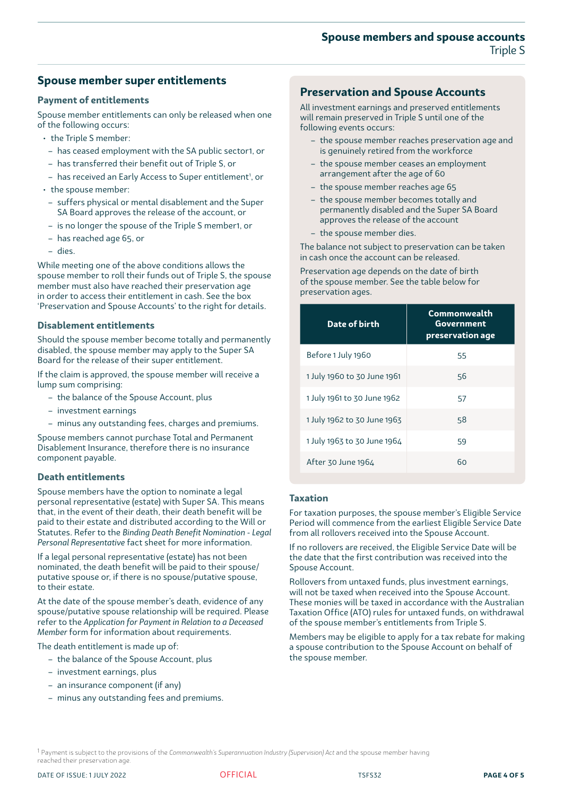## **Spouse members and spouse accounts** Triple S

# **Spouse member super entitlements**

#### **Payment of entitlements**

Spouse member entitlements can only be released when one of the following occurs:

- the Triple S member:
- has ceased employment with the SA public sector1, or
- has transferred their benefit out of Triple S, or
- has received an Early Access to Super entitlement<sup>1</sup>, or
- the spouse member:
- suffers physical or mental disablement and the Super SA Board approves the release of the account, or
- is no longer the spouse of the Triple S member1, or
- has reached age 65, or
- dies.

While meeting one of the above conditions allows the spouse member to roll their funds out of Triple S, the spouse member must also have reached their preservation age in order to access their entitlement in cash. See the box 'Preservation and Spouse Accounts' to the right for details.

#### **Disablement entitlements**

Should the spouse member become totally and permanently disabled, the spouse member may apply to the Super SA Board for the release of their super entitlement.

If the claim is approved, the spouse member will receive a lump sum comprising:

- the balance of the Spouse Account, plus
- investment earnings
- minus any outstanding fees, charges and premiums.

Spouse members cannot purchase Total and Permanent Disablement Insurance, therefore there is no insurance component payable.

#### **Death entitlements**

Spouse members have the option to nominate a legal personal representative (estate) with Super SA. This means that, in the event of their death, their death benefit will be paid to their estate and distributed according to the Will or Statutes. Refer to the *Binding Death Benefit Nomination - Legal Personal Representative* fact sheet for more information.

If a legal personal representative (estate) has not been nominated, the death benefit will be paid to their spouse/ putative spouse or, if there is no spouse/putative spouse, to their estate.

At the date of the spouse member's death, evidence of any spouse/putative spouse relationship will be required. Please refer to the *Application for Payment in Relation to a Deceased Member* form for information about requirements.

The death entitlement is made up of:

- the balance of the Spouse Account, plus
- investment earnings, plus
- an insurance component (if any)
- minus any outstanding fees and premiums.

# **Preservation and Spouse Accounts**

All investment earnings and preserved entitlements will remain preserved in Triple S until one of the following events occurs:

- the spouse member reaches preservation age and is genuinely retired from the workforce
- the spouse member ceases an employment arrangement after the age of 60
- the spouse member reaches age 65
- the spouse member becomes totally and permanently disabled and the Super SA Board approves the release of the account
- the spouse member dies.

The balance not subject to preservation can be taken in cash once the account can be released.

Preservation age depends on the date of birth of the spouse member. See the table below for preservation ages.

| Date of birth               | Commonwealth<br>Government<br>preservation age |  |
|-----------------------------|------------------------------------------------|--|
| Before 1 July 1960          | 55                                             |  |
| 1 July 1960 to 30 June 1961 | 56                                             |  |
| 1 July 1961 to 30 June 1962 | 57                                             |  |
| 1 July 1962 to 30 June 1963 | 58                                             |  |
| 1 July 1963 to 30 June 1964 | 59                                             |  |
| After 30 June 1964          | 60                                             |  |

#### **Taxation**

For taxation purposes, the spouse member's Eligible Service Period will commence from the earliest Eligible Service Date from all rollovers received into the Spouse Account.

If no rollovers are received, the Eligible Service Date will be the date that the first contribution was received into the Spouse Account.

Rollovers from untaxed funds, plus investment earnings, will not be taxed when received into the Spouse Account. These monies will be taxed in accordance with the Australian Taxation Office (ATO) rules for untaxed funds, on withdrawal of the spouse member's entitlements from Triple S.

Members may be eligible to apply for a tax rebate for making a spouse contribution to the Spouse Account on behalf of the spouse member.

1 Payment is subject to the provisions of the *Commonwealth's Superannuation Industry (Supervision) Act* and the spouse member having reached their preservation age.

DATE OF ISSUE: 1 JULY 2022 **OFFICIAL CONSUMING THE SET OF SEXUAL TSFS32 PAGE 4 OF 5**